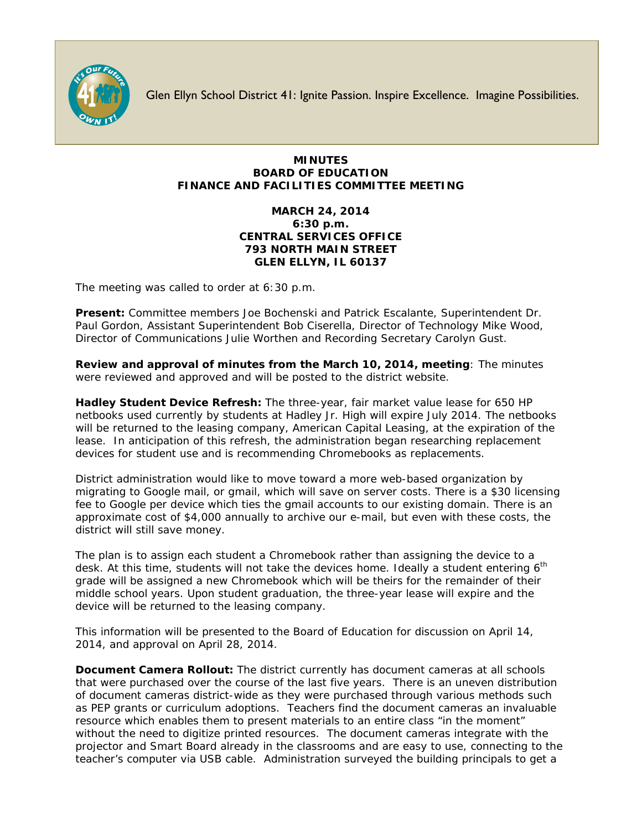

Glen Ellyn School District 41: Ignite Passion. Inspire Excellence. Imagine Possibilities.

## **MINUTES BOARD OF EDUCATION FINANCE AND FACILITIES COMMITTEE MEETING**

## **MARCH 24, 2014 6:30 p.m. CENTRAL SERVICES OFFICE 793 NORTH MAIN STREET GLEN ELLYN, IL 60137**

The meeting was called to order at 6:30 p.m.

**Present:** Committee members Joe Bochenski and Patrick Escalante, Superintendent Dr. Paul Gordon, Assistant Superintendent Bob Ciserella, Director of Technology Mike Wood, Director of Communications Julie Worthen and Recording Secretary Carolyn Gust.

**Review and approval of minutes from the March 10, 2014, meeting**: The minutes were reviewed and approved and will be posted to the district website.

**Hadley Student Device Refresh:** The three-year, fair market value lease for 650 HP netbooks used currently by students at Hadley Jr. High will expire July 2014. The netbooks will be returned to the leasing company, American Capital Leasing, at the expiration of the lease. In anticipation of this refresh, the administration began researching replacement devices for student use and is recommending Chromebooks as replacements.

District administration would like to move toward a more web-based organization by migrating to Google mail, or gmail, which will save on server costs. There is a \$30 licensing fee to Google per device which ties the gmail accounts to our existing domain. There is an approximate cost of \$4,000 annually to archive our e-mail, but even with these costs, the district will still save money.

The plan is to assign each student a Chromebook rather than assigning the device to a desk. At this time, students will not take the devices home. Ideally a student entering 6<sup>th</sup> grade will be assigned a new Chromebook which will be theirs for the remainder of their middle school years. Upon student graduation, the three-year lease will expire and the device will be returned to the leasing company.

This information will be presented to the Board of Education for discussion on April 14, 2014, and approval on April 28, 2014.

**Document Camera Rollout:** The district currently has document cameras at all schools that were purchased over the course of the last five years. There is an uneven distribution of document cameras district-wide as they were purchased through various methods such as PEP grants or curriculum adoptions. Teachers find the document cameras an invaluable resource which enables them to present materials to an entire class "in the moment" without the need to digitize printed resources. The document cameras integrate with the projector and Smart Board already in the classrooms and are easy to use, connecting to the teacher's computer via USB cable. Administration surveyed the building principals to get a